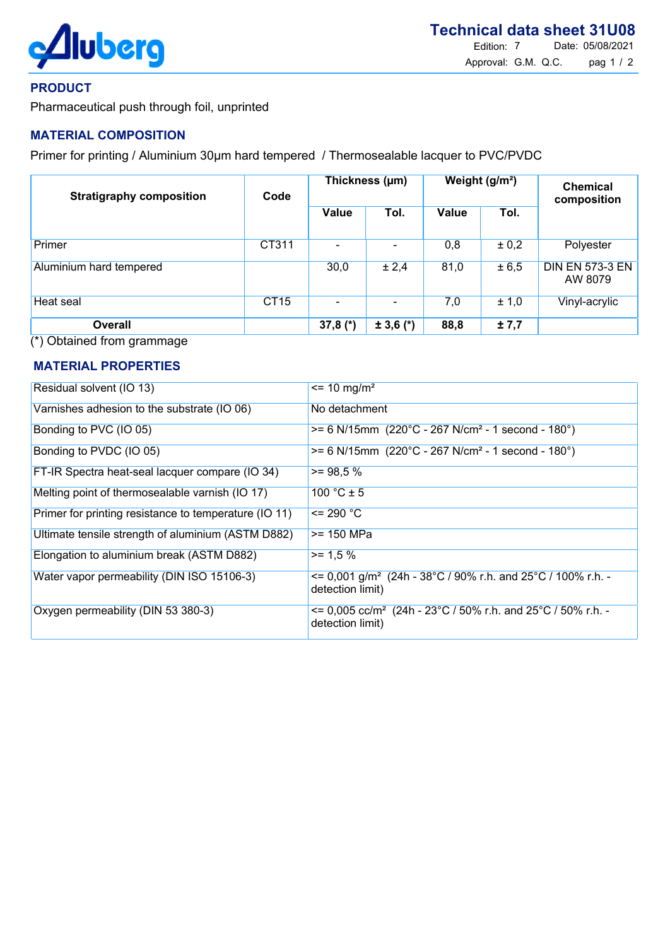

## PRODUCT

Pharmaceutical push through foil, unprinted

# MATERIAL COMPOSITION

Primer for printing / Aluminium 30µm hard tempered / Thermosealable lacquer to PVC/PVDC

| <b>Stratigraphy composition</b> | Code        | Thickness (µm) |             | Weight (g/m <sup>2</sup> ) |       | <b>Chemical</b><br>composition    |
|---------------------------------|-------------|----------------|-------------|----------------------------|-------|-----------------------------------|
|                                 |             | Value          | Tol.        | Value                      | Tol.  |                                   |
| Primer                          | CT311       |                |             | 0,8                        | ± 0,2 | Polyester                         |
| <b>Aluminium hard tempered</b>  |             | 30,0           | ± 2,4       | 81,0                       | ± 6,5 | <b>DIN EN 573-3 EN</b><br>AW 8079 |
| Heat seal                       | <b>CT15</b> |                |             | 7,0                        | ± 1,0 | Vinyl-acrylic                     |
| <b>Overall</b>                  |             | 37,8 $(*)$     | $± 3,6 (*)$ | 88,8                       | ±7,7  |                                   |

(\*) Obtained from grammage

#### MATERIAL PROPERTIES

| Residual solvent (IO 13)                              | $\epsilon$ = 10 mg/m <sup>2</sup>                                                                     |
|-------------------------------------------------------|-------------------------------------------------------------------------------------------------------|
| Varnishes adhesion to the substrate (IO 06)           | No detachment                                                                                         |
| Bonding to PVC (IO 05)                                | $>= 6$ N/15mm (220°C - 267 N/cm <sup>2</sup> - 1 second - 180°)                                       |
| Bonding to PVDC (IO 05)                               | $>= 6$ N/15mm (220°C - 267 N/cm <sup>2</sup> - 1 second - 180°)                                       |
| FT-IR Spectra heat-seal lacquer compare (IO 34)       | $>= 98.5 %$                                                                                           |
| Melting point of thermosealable varnish (IO 17)       | $100 °C \pm 5$                                                                                        |
| Primer for printing resistance to temperature (IO 11) | $= 290 °C$                                                                                            |
| Ultimate tensile strength of aluminium (ASTM D882)    | >= 150 MPa                                                                                            |
| Elongation to aluminium break (ASTM D882)             | $>= 1.5 %$                                                                                            |
| Water vapor permeability (DIN ISO 15106-3)            | $\epsilon$ = 0,001 g/m <sup>2</sup> (24h - 38°C / 90% r.h. and 25°C / 100% r.h. -<br>detection limit) |
| Oxygen permeability (DIN 53 380-3)                    | $\epsilon$ = 0,005 cc/m <sup>2</sup> (24h - 23°C / 50% r.h. and 25°C / 50% r.h. -<br>detection limit) |